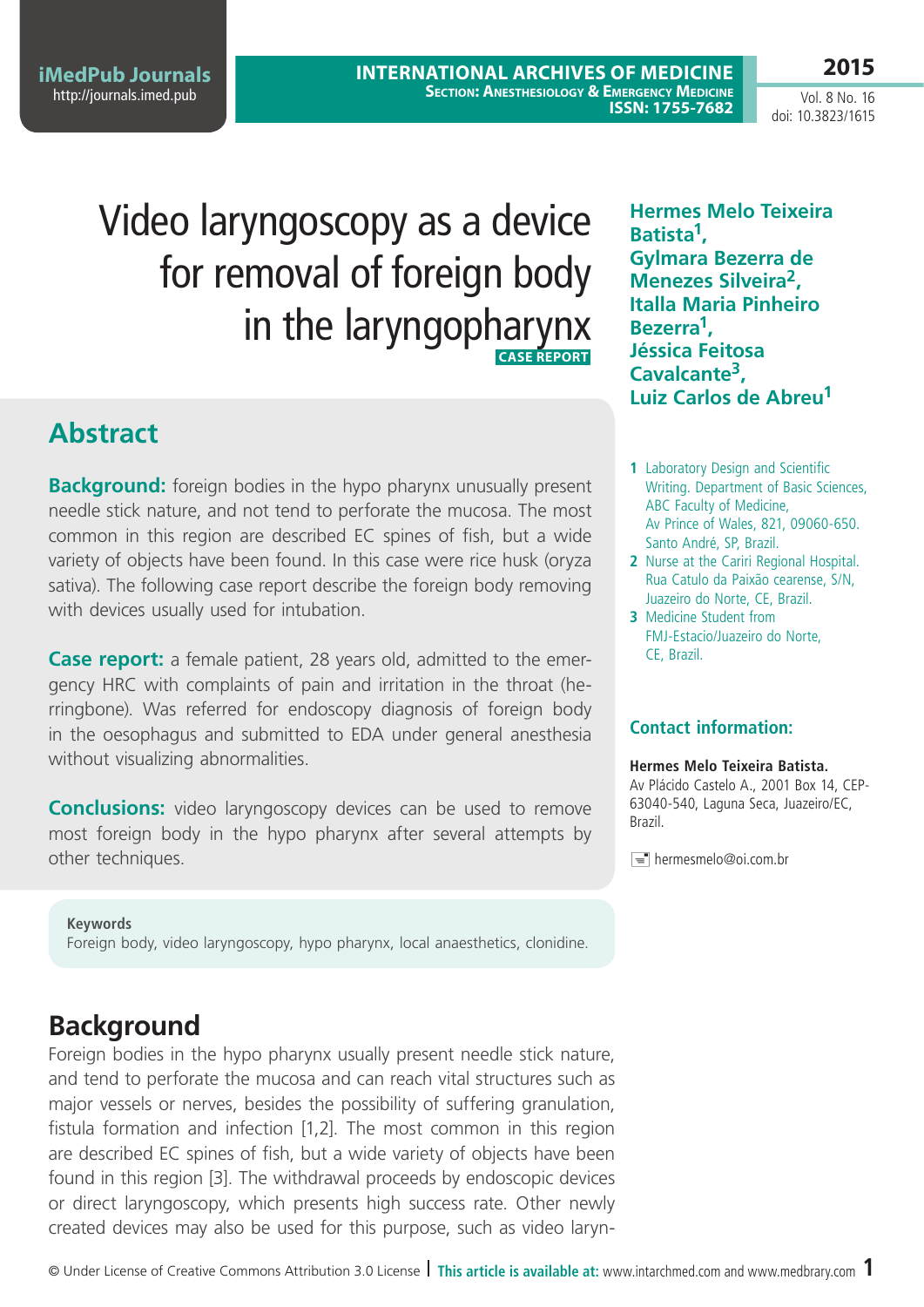**iMedPub Journals** <http://journals.imed.pub>

**International Archives of Medicine SECTION: ANESTHESIOLOGY & EMERGENCY MEDICINE ISSN: 1755-7682** 

Vol. 8 No. 16 doi: 10.3823/1615

**2015**

# Video laryngoscopy as a device for removal of foreign body in the laryngopharynx **Case Report**

## **Abstract**

**Background:** foreign bodies in the hypo pharynx unusually present needle stick nature, and not tend to perforate the mucosa. The most common in this region are described EC spines of fish, but a wide variety of objects have been found. In this case were rice husk (oryza sativa). The following case report describe the foreign body removing with devices usually used for intubation.

**Case report:** a female patient, 28 years old, admitted to the emergency HRC with complaints of pain and irritation in the throat (herringbone). Was referred for endoscopy diagnosis of foreign body in the oesophagus and submitted to EDA under general anesthesia without visualizing abnormalities.

**Conclusions:** video laryngoscopy devices can be used to remove most foreign body in the hypo pharynx after several attempts by other techniques.

#### **Keywords**

foreign body, video laryngoscopy, hypo pharynx, local anaesthetics, clonidine.

## **Background**

Foreign bodies in the hypo pharynx usually present needle stick nature, and tend to perforate the mucosa and can reach vital structures such as major vessels or nerves, besides the possibility of suffering granulation, fistula formation and infection [1,2]. The most common in this region are described EC spines of fish, but a wide variety of objects have been found in this region [3]. The withdrawal proceeds by endoscopic devices or direct laryngoscopy, which presents high success rate. Other newly created devices may also be used for this purpose, such as video laryn-

**Hermes Melo Teixeira Batista1, Gylmara Bezerra de Menezes Silveira2, Italla Maria Pinheiro Bezerra1, Jéssica Feitosa Cavalcante3, Luiz Carlos de Abreu1**

- **1** Laboratory Design and Scientific Writing. Department of Basic Sciences, ABC Faculty of Medicine, Av Prince of Wales, 821, 09060-650. Santo André, SP, Brazil.
- **2** Nurse at the Cariri Regional Hospital. Rua Catulo da Paixão cearense, S/N, Juazeiro do Norte, CE, Brazil.
- **3** Medicine Student from FMJ-Estacio/Juazeiro do Norte, CE, Brazil.

### **Contact information:**

#### **Hermes Melo Teixeira Batista.**

Av Plácido Castelo A., 2001 Box 14, CEP-63040-540, Laguna Seca, Juazeiro/EC, Brazil.

hermesmelo@oi.com.br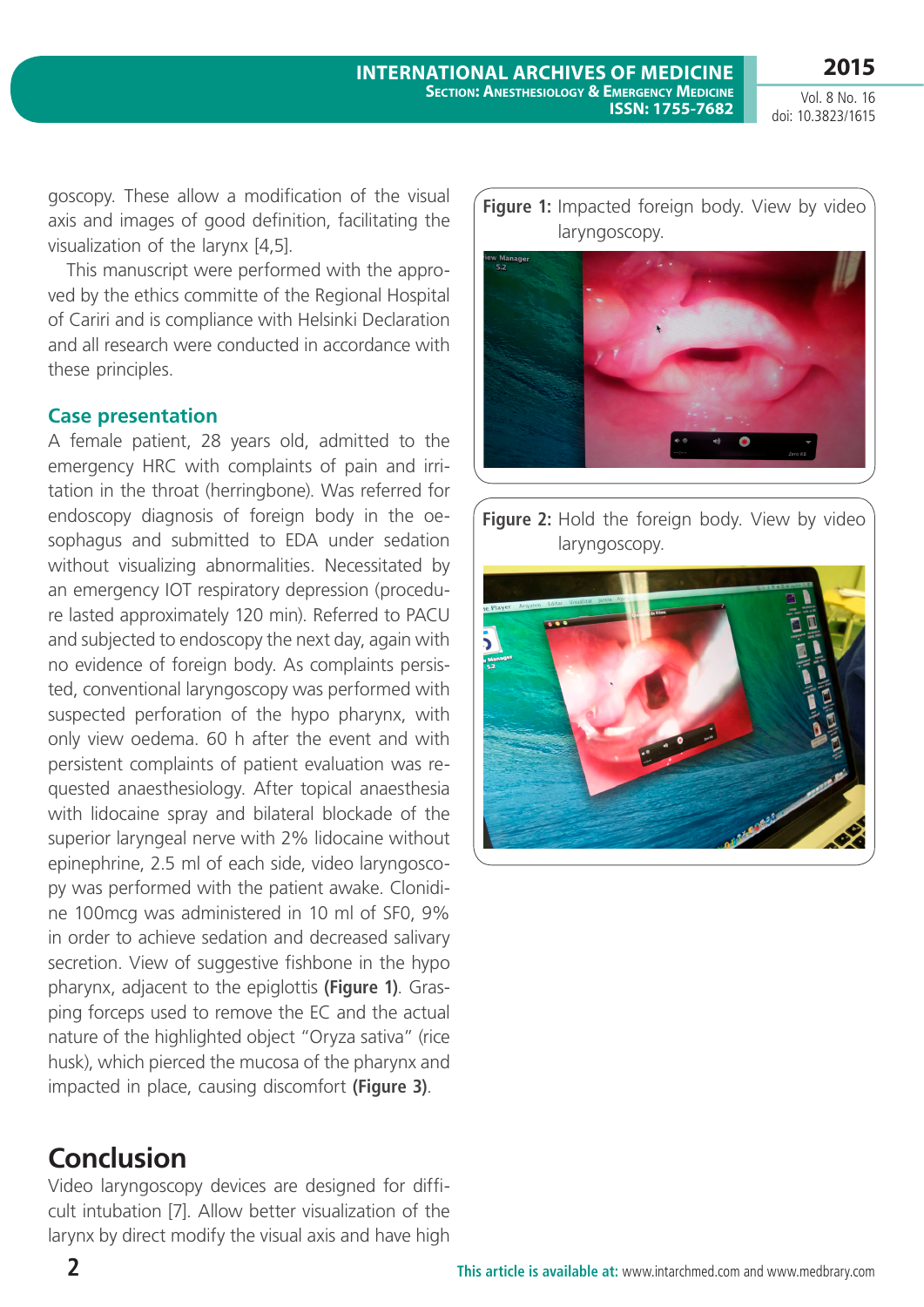Vol. 8 No. 16 doi: 10.3823/1615

**2015**

goscopy. These allow a modification of the visual axis and images of good definition, facilitating the visualization of the larynx [4,5].

This manuscript were performed with the approved by the ethics committe of the Regional Hospital of Cariri and is compliance with Helsinki Declaration and all research were conducted in accordance with these principles.

### **Case presentation**

A female patient, 28 years old, admitted to the emergency HRC with complaints of pain and irritation in the throat (herringbone). Was referred for endoscopy diagnosis of foreign body in the oesophagus and submitted to EDA under sedation without visualizing abnormalities. Necessitated by an emergency IOT respiratory depression (procedure lasted approximately 120 min). Referred to PACU and subjected to endoscopy the next day, again with no evidence of foreign body. As complaints persisted, conventional laryngoscopy was performed with suspected perforation of the hypo pharynx, with only view oedema. 60 h after the event and with persistent complaints of patient evaluation was requested anaesthesiology. After topical anaesthesia with lidocaine spray and bilateral blockade of the superior laryngeal nerve with 2% lidocaine without epinephrine, 2.5 ml of each side, video laryngoscopy was performed with the patient awake. Clonidine 100mcg was administered in 10 ml of SF0, 9% in order to achieve sedation and decreased salivary secretion. View of suggestive fishbone in the hypo pharynx, adjacent to the epiglottis **(Figure 1)**. Grasping forceps used to remove the EC and the actual nature of the highlighted object "Oryza sativa" (rice husk), which pierced the mucosa of the pharynx and impacted in place, causing discomfort **(Figure 3)**.

## **Conclusion**

Video laryngoscopy devices are designed for difficult intubation [7]. Allow better visualization of the larynx by direct modify the visual axis and have high **Figure 1:** Impacted foreign body. View by video laryngoscopy.



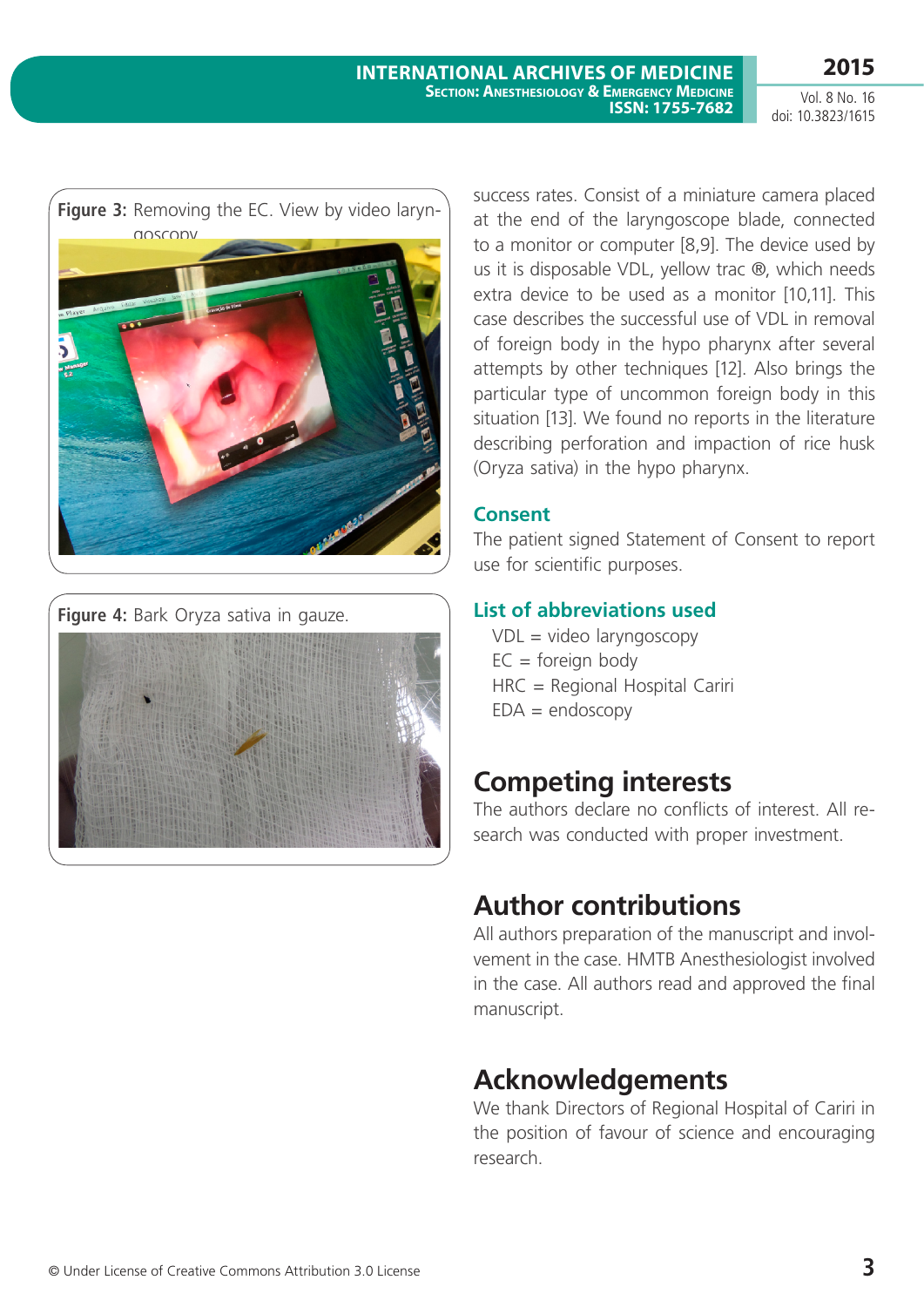Vol. 8 No. 16 doi: 10.3823/1615





success rates. Consist of a miniature camera placed at the end of the laryngoscope blade, connected to a monitor or computer [8,9]. The device used by us it is disposable VDL, yellow trac ®, which needs extra device to be used as a monitor [10,11]. This case describes the successful use of VDL in removal of foreign body in the hypo pharynx after several attempts by other techniques [12]. Also brings the particular type of uncommon foreign body in this situation [13]. We found no reports in the literature describing perforation and impaction of rice husk (Oryza sativa) in the hypo pharynx.

### **Consent**

The patient signed Statement of Consent to report use for scientific purposes.

## **List of abbreviations used**

VDL = video laryngoscopy  $EC = foreign body$ HRC = Regional Hospital Cariri  $EDA = endoscopy$ 

# **Competing interests**

The authors declare no conflicts of interest. All research was conducted with proper investment.

# **Author contributions**

All authors preparation of the manuscript and involvement in the case. HMTB Anesthesiologist involved in the case. All authors read and approved the final manuscript.

# **Acknowledgements**

We thank Directors of Regional Hospital of Cariri in the position of favour of science and encouraging research.